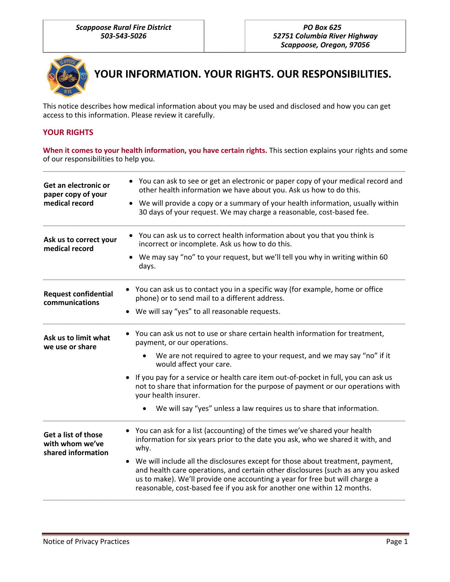

**YOUR INFORMATION. YOUR RIGHTS. OUR RESPONSIBILITIES.**

This notice describes how medical information about you may be used and disclosed and how you can get access to this information. Please review it carefully.

### **YOUR RIGHTS**

**When it comes to your health information, you have certain rights.** This section explains your rights and some of our responsibilities to help you. \_\_\_\_\_\_\_\_\_\_\_\_\_\_\_\_\_\_\_\_\_\_\_\_\_\_\_\_\_\_\_\_\_\_\_\_\_\_\_\_\_\_\_\_\_\_\_\_\_\_\_\_\_\_\_\_\_\_\_\_\_\_\_\_\_\_\_\_\_\_\_\_\_\_\_\_\_\_\_\_\_\_\_\_\_\_\_\_\_\_

| Get an electronic or<br>paper copy of your<br>medical record | • You can ask to see or get an electronic or paper copy of your medical record and<br>other health information we have about you. Ask us how to do this.<br>• We will provide a copy or a summary of your health information, usually within<br>30 days of your request. We may charge a reasonable, cost-based fee.                      |
|--------------------------------------------------------------|-------------------------------------------------------------------------------------------------------------------------------------------------------------------------------------------------------------------------------------------------------------------------------------------------------------------------------------------|
| Ask us to correct your<br>medical record                     | • You can ask us to correct health information about you that you think is<br>incorrect or incomplete. Ask us how to do this.                                                                                                                                                                                                             |
|                                                              | We may say "no" to your request, but we'll tell you why in writing within 60<br>days.                                                                                                                                                                                                                                                     |
| <b>Request confidential</b><br>communications                | • You can ask us to contact you in a specific way (for example, home or office<br>phone) or to send mail to a different address.                                                                                                                                                                                                          |
|                                                              | We will say "yes" to all reasonable requests.                                                                                                                                                                                                                                                                                             |
| Ask us to limit what<br>we use or share                      | You can ask us not to use or share certain health information for treatment,<br>payment, or our operations.                                                                                                                                                                                                                               |
|                                                              | We are not required to agree to your request, and we may say "no" if it<br>would affect your care.                                                                                                                                                                                                                                        |
|                                                              | If you pay for a service or health care item out-of-pocket in full, you can ask us<br>not to share that information for the purpose of payment or our operations with<br>your health insurer.                                                                                                                                             |
|                                                              | We will say "yes" unless a law requires us to share that information.                                                                                                                                                                                                                                                                     |
| Get a list of those<br>with whom we've<br>shared information | You can ask for a list (accounting) of the times we've shared your health<br>information for six years prior to the date you ask, who we shared it with, and<br>why.                                                                                                                                                                      |
|                                                              | We will include all the disclosures except for those about treatment, payment,<br>$\bullet$<br>and health care operations, and certain other disclosures (such as any you asked<br>us to make). We'll provide one accounting a year for free but will charge a<br>reasonable, cost-based fee if you ask for another one within 12 months. |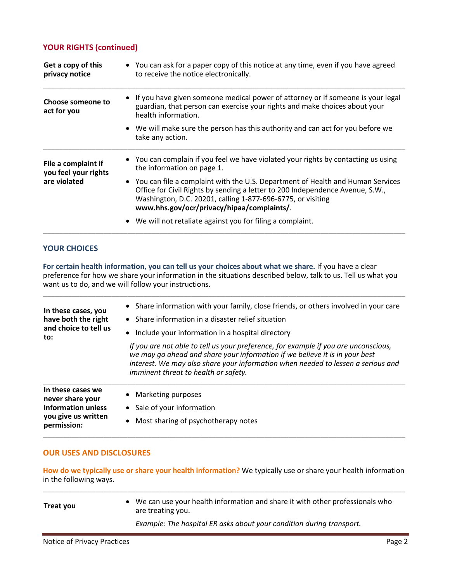## **YOUR RIGHTS (continued)**

| Get a copy of this<br>privacy notice                        | • You can ask for a paper copy of this notice at any time, even if you have agreed<br>to receive the notice electronically.                                                                                                                                                    |
|-------------------------------------------------------------|--------------------------------------------------------------------------------------------------------------------------------------------------------------------------------------------------------------------------------------------------------------------------------|
| Choose someone to<br>act for you                            | • If you have given someone medical power of attorney or if someone is your legal<br>guardian, that person can exercise your rights and make choices about your<br>health information.                                                                                         |
|                                                             | • We will make sure the person has this authority and can act for you before we<br>take any action.                                                                                                                                                                            |
| File a complaint if<br>you feel your rights<br>are violated | • You can complain if you feel we have violated your rights by contacting us using<br>the information on page 1.                                                                                                                                                               |
|                                                             | • You can file a complaint with the U.S. Department of Health and Human Services<br>Office for Civil Rights by sending a letter to 200 Independence Avenue, S.W.,<br>Washington, D.C. 20201, calling 1-877-696-6775, or visiting<br>www.hhs.gov/ocr/privacy/hipaa/complaints/. |
|                                                             | • We will not retaliate against you for filing a complaint.                                                                                                                                                                                                                    |

#### **YOUR CHOICES**

**For certain health information, you can tell us your choices about what we share.** If you have a clear preference for how we share your information in the situations described below, talk to us. Tell us what you want us to do, and we will follow your instructions.

| In these cases we<br>never share your<br>information unless<br>you give us written<br>permission: | Marketing purposes<br>$\bullet$<br>• Sale of your information<br>Most sharing of psychotherapy notes<br>$\bullet$                                                                                                                                                                              |
|---------------------------------------------------------------------------------------------------|------------------------------------------------------------------------------------------------------------------------------------------------------------------------------------------------------------------------------------------------------------------------------------------------|
|                                                                                                   | If you are not able to tell us your preference, for example if you are unconscious,<br>we may go ahead and share your information if we believe it is in your best<br>interest. We may also share your information when needed to lessen a serious and<br>imminent threat to health or safety. |
| have both the right<br>and choice to tell us<br>to:                                               | Include your information in a hospital directory<br>$\bullet$                                                                                                                                                                                                                                  |
|                                                                                                   | Share information in a disaster relief situation<br>$\bullet$                                                                                                                                                                                                                                  |
| In these cases, you                                                                               | • Share information with your family, close friends, or others involved in your care                                                                                                                                                                                                           |

### **OUR USES AND DISCLOSURES**

**How do we typically use or share your health information?** We typically use or share your health information in the following ways. \_\_\_\_\_\_\_\_\_\_\_\_\_\_\_\_\_\_\_\_\_\_\_\_\_\_\_\_\_\_\_\_\_\_\_\_\_\_\_\_\_\_\_\_\_\_\_\_\_\_\_\_\_\_\_\_\_\_\_\_\_\_\_\_\_\_\_\_\_\_\_\_\_\_\_\_\_\_\_\_\_\_\_\_\_\_\_\_\_\_

| Treat you | • We can use your health information and share it with other professionals who<br>are treating you. |
|-----------|-----------------------------------------------------------------------------------------------------|
|           | Example: The hospital ER asks about your condition during transport.                                |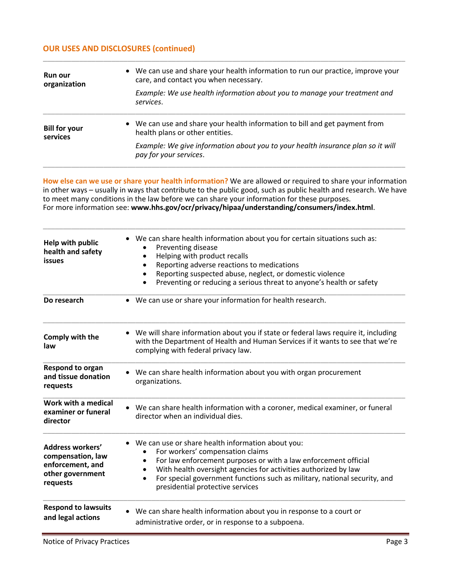# **OUR USES AND DISCLOSURES (continued)**

| <b>Run our</b><br>organization   | • We can use and share your health information to run our practice, improve your<br>care, and contact you when necessary. |
|----------------------------------|---------------------------------------------------------------------------------------------------------------------------|
|                                  | Example: We use health information about you to manage your treatment and<br>services.                                    |
| <b>Bill for your</b><br>services | • We can use and share your health information to bill and get payment from<br>health plans or other entities.            |
|                                  | Example: We give information about you to your health insurance plan so it will<br>pay for your services.                 |

\_\_\_\_\_\_\_\_\_\_\_\_\_\_\_\_\_\_\_\_\_\_\_\_\_\_\_\_\_\_\_\_\_\_\_\_\_\_\_\_\_\_\_\_\_\_\_\_\_\_\_\_\_\_\_\_\_\_\_\_\_\_\_\_\_\_\_\_\_\_\_\_\_\_\_\_\_\_\_\_\_\_\_\_\_\_\_\_\_\_

**How else can we use or share your health information?** We are allowed or required to share your information in other ways – usually in ways that contribute to the public good, such as public health and research. We have to meet many conditions in the law before we can share your information for these purposes. For more information see: **www.hhs.gov/ocr/privacy/hipaa/understanding/consumers/index.html**.

\_\_\_\_\_\_\_\_\_\_\_\_\_\_\_\_\_\_\_\_\_\_\_\_\_\_\_\_\_\_\_\_\_\_\_\_\_\_\_\_\_\_\_\_\_\_\_\_\_\_\_\_\_\_\_\_\_\_\_\_\_\_\_\_\_\_\_\_\_\_\_\_\_\_\_\_\_\_\_\_\_\_\_\_\_\_\_\_\_\_

| Help with public<br>health and safety<br><b>issues</b>                                           | • We can share health information about you for certain situations such as:<br>Preventing disease<br>Helping with product recalls<br>Reporting adverse reactions to medications<br>Reporting suspected abuse, neglect, or domestic violence<br>٠<br>Preventing or reducing a serious threat to anyone's health or safety<br>$\bullet$                     |
|--------------------------------------------------------------------------------------------------|-----------------------------------------------------------------------------------------------------------------------------------------------------------------------------------------------------------------------------------------------------------------------------------------------------------------------------------------------------------|
| Do research                                                                                      | • We can use or share your information for health research.                                                                                                                                                                                                                                                                                               |
| Comply with the<br>law                                                                           | • We will share information about you if state or federal laws require it, including<br>with the Department of Health and Human Services if it wants to see that we're<br>complying with federal privacy law.                                                                                                                                             |
| Respond to organ<br>and tissue donation<br>requests                                              | We can share health information about you with organ procurement<br>organizations.                                                                                                                                                                                                                                                                        |
| Work with a medical<br>examiner or funeral<br>director                                           | • We can share health information with a coroner, medical examiner, or funeral<br>director when an individual dies.                                                                                                                                                                                                                                       |
| <b>Address workers'</b><br>compensation, law<br>enforcement, and<br>other government<br>requests | We can use or share health information about you:<br>For workers' compensation claims<br>For law enforcement purposes or with a law enforcement official<br>$\bullet$<br>With health oversight agencies for activities authorized by law<br>For special government functions such as military, national security, and<br>presidential protective services |
| <b>Respond to lawsuits</b><br>and legal actions                                                  | We can share health information about you in response to a court or<br>administrative order, or in response to a subpoena.                                                                                                                                                                                                                                |